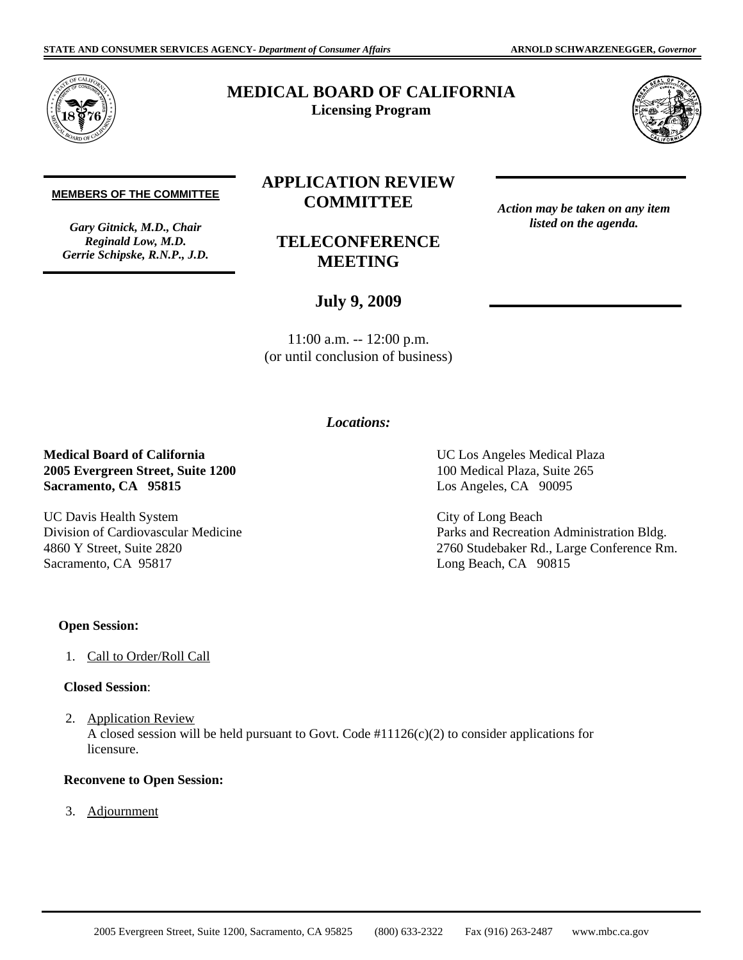*Action may be taken on any item listed on the agenda.*



# **MEDICAL BOARD OF CALIFORNIA Licensing Program**



#### **MEMBERS OF THE COMMITTEE**

*Gary Gitnick, M.D., Chair Reginald Low, M.D. Gerrie Schipske, R.N.P., J.D.* 

# **APPLICATION REVIEW COMMITTEE**

**TELECONFERENCE MEETING** 

## **July 9, 2009**

11:00 a.m. -- 12:00 p.m. (or until conclusion of business)

## *Locations:*

### **Medical Board of California 2005 Evergreen Street, Suite 1200 Sacramento, CA 95815**

UC Davis Health System Division of Cardiovascular Medicine 4860 Y Street, Suite 2820 Sacramento, CA 95817

UC Los Angeles Medical Plaza 100 Medical Plaza, Suite 265 Los Angeles, CA 90095

City of Long Beach Parks and Recreation Administration Bldg. 2760 Studebaker Rd., Large Conference Rm. Long Beach, CA 90815

#### **Open Session:**

1. Call to Order/Roll Call

### **Closed Session**:

2. Application Review A closed session will be held pursuant to Govt. Code #11126(c)(2) to consider applications for licensure.

#### **Reconvene to Open Session:**

3. Adjournment

2005 Evergreen Street, Suite 1200, Sacramento, CA 95825 (800) 633-2322 Fax (916) 263-2487 <www.mbc.ca.gov>